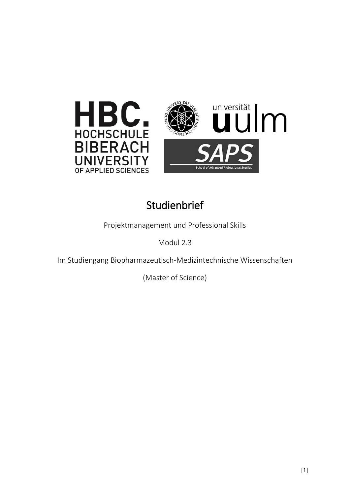



## **Studienbrief**

Projektmanagement und Professional Skills

Modul 2.3

Im Studiengang Biopharmazeutisch-Medizintechnische Wissenschaften

(Master of Science)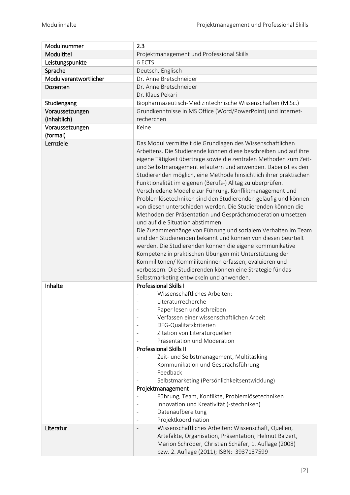| Modulnummer           | 2.3                                                                                                                                                                                                                                                                                                                                                                                                                                                                                                                                                                                                                                                                                                                                                                                                                                                                                                                                                                                                                                                                                  |
|-----------------------|--------------------------------------------------------------------------------------------------------------------------------------------------------------------------------------------------------------------------------------------------------------------------------------------------------------------------------------------------------------------------------------------------------------------------------------------------------------------------------------------------------------------------------------------------------------------------------------------------------------------------------------------------------------------------------------------------------------------------------------------------------------------------------------------------------------------------------------------------------------------------------------------------------------------------------------------------------------------------------------------------------------------------------------------------------------------------------------|
| Modultitel            | Projektmanagement und Professional Skills                                                                                                                                                                                                                                                                                                                                                                                                                                                                                                                                                                                                                                                                                                                                                                                                                                                                                                                                                                                                                                            |
| Leistungspunkte       | 6 ECTS                                                                                                                                                                                                                                                                                                                                                                                                                                                                                                                                                                                                                                                                                                                                                                                                                                                                                                                                                                                                                                                                               |
| Sprache               | Deutsch, Englisch                                                                                                                                                                                                                                                                                                                                                                                                                                                                                                                                                                                                                                                                                                                                                                                                                                                                                                                                                                                                                                                                    |
| Modulverantwortlicher | Dr. Anne Bretschneider                                                                                                                                                                                                                                                                                                                                                                                                                                                                                                                                                                                                                                                                                                                                                                                                                                                                                                                                                                                                                                                               |
| Dozenten              | Dr. Anne Bretschneider                                                                                                                                                                                                                                                                                                                                                                                                                                                                                                                                                                                                                                                                                                                                                                                                                                                                                                                                                                                                                                                               |
|                       | Dr. Klaus Pekari                                                                                                                                                                                                                                                                                                                                                                                                                                                                                                                                                                                                                                                                                                                                                                                                                                                                                                                                                                                                                                                                     |
| Studiengang           | Biopharmazeutisch-Medizintechnische Wissenschaften (M.Sc.)                                                                                                                                                                                                                                                                                                                                                                                                                                                                                                                                                                                                                                                                                                                                                                                                                                                                                                                                                                                                                           |
| Voraussetzungen       | Grundkenntnisse in MS Office (Word/PowerPoint) und Internet-                                                                                                                                                                                                                                                                                                                                                                                                                                                                                                                                                                                                                                                                                                                                                                                                                                                                                                                                                                                                                         |
| (inhaltlich)          | recherchen                                                                                                                                                                                                                                                                                                                                                                                                                                                                                                                                                                                                                                                                                                                                                                                                                                                                                                                                                                                                                                                                           |
| Voraussetzungen       | Keine                                                                                                                                                                                                                                                                                                                                                                                                                                                                                                                                                                                                                                                                                                                                                                                                                                                                                                                                                                                                                                                                                |
| (formal)              |                                                                                                                                                                                                                                                                                                                                                                                                                                                                                                                                                                                                                                                                                                                                                                                                                                                                                                                                                                                                                                                                                      |
| Lernziele             | Das Modul vermittelt die Grundlagen des Wissenschaftlichen<br>Arbeitens. Die Studierende können diese beschreiben und auf ihre<br>eigene Tätigkeit übertrage sowie die zentralen Methoden zum Zeit-<br>und Selbstmanagement erläutern und anwenden. Dabei ist es den<br>Studierenden möglich, eine Methode hinsichtlich ihrer praktischen<br>Funktionalität im eigenen (Berufs-) Alltag zu überprüfen.<br>Verschiedene Modelle zur Führung, Konfliktmanagement und<br>Problemlösetechniken sind den Studierenden geläufig und können<br>von diesen unterschieden werden. Die Studierenden können die<br>Methoden der Präsentation und Gesprächsmoderation umsetzen<br>und auf die Situation abstimmen.<br>Die Zusammenhänge von Führung und sozialem Verhalten im Team<br>sind den Studierenden bekannt und können von diesen beurteilt<br>werden. Die Studierenden können die eigene kommunikative<br>Kompetenz in praktischen Übungen mit Unterstützung der<br>Kommilitonen/Kommilitoninnen erfassen, evaluieren und<br>verbessern. Die Studierenden können eine Strategie für das |
|                       | Selbstmarketing entwickeln und anwenden.                                                                                                                                                                                                                                                                                                                                                                                                                                                                                                                                                                                                                                                                                                                                                                                                                                                                                                                                                                                                                                             |
| Inhalte               | <b>Professional Skills I</b><br>Wissenschaftliches Arbeiten:<br>Literaturrecherche<br>Paper lesen und schreiben<br>Verfassen einer wissenschaftlichen Arbeit<br>DFG-Qualitätskriterien<br>Zitation von Literaturquellen<br>Präsentation und Moderation<br><b>Professional Skills II</b><br>Zeit- und Selbstmanagement, Multitasking<br>Kommunikation und Gesprächsführung<br>Feedback<br>Selbstmarketing (Persönlichkeitsentwicklung)<br>Projektmanagement<br>Führung, Team, Konflikte, Problemlösetechniken<br>Innovation und Kreativität (-stechniken)<br>Datenaufbereitung<br>Projektkoordination                                                                                                                                                                                                                                                                                                                                                                                                                                                                                 |
| Literatur             | Wissenschaftliches Arbeiten: Wissenschaft, Quellen,<br>Artefakte, Organisation, Präsentation; Helmut Balzert,<br>Marion Schröder, Christian Schäfer, 1. Auflage (2008)<br>bzw. 2. Auflage (2011); ISBN: 3937137599                                                                                                                                                                                                                                                                                                                                                                                                                                                                                                                                                                                                                                                                                                                                                                                                                                                                   |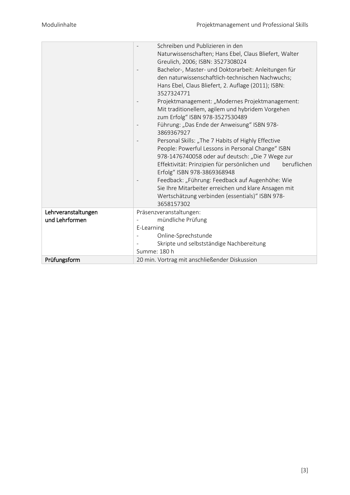|                                       | Schreiben und Publizieren in den<br>Naturwissenschaften; Hans Ebel, Claus Bliefert, Walter<br>Greulich, 2006; ISBN: 3527308024<br>Bachelor-, Master- und Doktorarbeit: Anleitungen für<br>den naturwissenschaftlich-technischen Nachwuchs;<br>Hans Ebel, Claus Bliefert, 2. Auflage (2011); ISBN:<br>3527324771<br>Projektmanagement: "Modernes Projektmanagement:<br>Mit traditionellem, agilem und hybridem Vorgehen<br>zum Erfolg" ISBN 978-3527530489<br>Führung: "Das Ende der Anweisung" ISBN 978-<br>3869367927<br>Personal Skills: "The 7 Habits of Highly Effective<br>People: Powerful Lessons in Personal Change" ISBN<br>978-1476740058 oder auf deutsch: "Die 7 Wege zur<br>Effektivität: Prinzipien für persönlichen und<br>beruflichen<br>Erfolg" ISBN 978-3869368948<br>Feedback: "Führung: Feedback auf Augenhöhe: Wie<br>Sie Ihre Mitarbeiter erreichen und klare Ansagen mit<br>Wertschätzung verbinden (essentials)" ISBN 978-<br>3658157302 |
|---------------------------------------|------------------------------------------------------------------------------------------------------------------------------------------------------------------------------------------------------------------------------------------------------------------------------------------------------------------------------------------------------------------------------------------------------------------------------------------------------------------------------------------------------------------------------------------------------------------------------------------------------------------------------------------------------------------------------------------------------------------------------------------------------------------------------------------------------------------------------------------------------------------------------------------------------------------------------------------------------------------|
| Lehrveranstaltungen<br>und Lehrformen | Präsenzveranstaltungen:<br>mündliche Prüfung<br>E-Learning<br>Online-Sprechstunde<br>Skripte und selbstständige Nachbereitung<br>Summe: 180 h                                                                                                                                                                                                                                                                                                                                                                                                                                                                                                                                                                                                                                                                                                                                                                                                                    |
| Prüfungsform                          | 20 min. Vortrag mit anschließender Diskussion                                                                                                                                                                                                                                                                                                                                                                                                                                                                                                                                                                                                                                                                                                                                                                                                                                                                                                                    |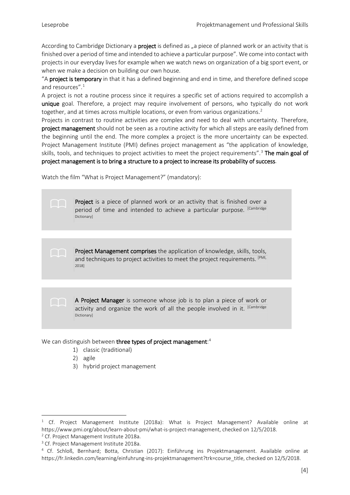According to Cambridge Dictionary a **project** is defined as "a piece of planned work or an activity that is finished over a period of time and intended to achieve a particular purpose". We come into contact with projects in our everyday lives for example when we watch news on organization of a big sport event, or when we make a decision on building our own house.

"A project is temporary in that it has a defined beginning and end in time, and therefore defined scope and resources".<sup>[1](#page-3-0)</sup>

A project is not a routine process since it requires a specific set of actions required to accomplish a unique goal. Therefore, a project may require involvement of persons, who typically do not work together, and at times across multiple locations, or even from various organizations.<sup>[2](#page-3-1)</sup>

Projects in contrast to routine activities are complex and need to deal with uncertainty. Therefore, project management should not be seen as a routine activity for which all steps are easily defined from the beginning until the end. The more complex a project is the more uncertainty can be expected. Project Management Institute (PMI) defines project management as "the application of knowledge, skills, tools, and techniques to project activities to meet the project requirements".<sup>[3](#page-3-2)</sup> The main goal of project management is to bring a structure to a project to increase its probability of success.

Watch the film "What is Project Management?" (mandatory):

Project is a piece of planned work or an activity that is finished over a period of time and intended to achieve a particular purpose. [Cambridge **Dictionary** 

Project Management comprises the application of knowledge, skills, tools, and techniques to project activities to meet the project requirements. [PMI, 2018]

> A Project Manager is someone whose job is to plan a piece of work or activity and organize the work of all the people involved in it. [Cambridge Dictionary]

We can distinguish between three types of project management:<sup>[4](#page-3-3)</sup>

- 1) classic (traditional)
- 2) agile
- 3) hybrid project management

<span id="page-3-0"></span>ł <sup>1</sup> Cf. Project Management Institute (2018a): What is Project Management? Available online at https://www.pmi.org/about/learn-about-pmi/what-is-project-management, checked on 12/5/2018. <sup>2</sup> Cf. Project Management Institute 2018a.

<span id="page-3-2"></span><span id="page-3-1"></span><sup>&</sup>lt;sup>3</sup> Cf. Project Management Institute 2018a.

<span id="page-3-3"></span><sup>4</sup> Cf. Schloß, Bernhard; Botta, Christian (2017): Einführung ins Projektmanagement. Available online at https://fr.linkedin.com/learning/einfuhrung-ins-projektmanagement?trk=course\_title, checked on 12/5/2018.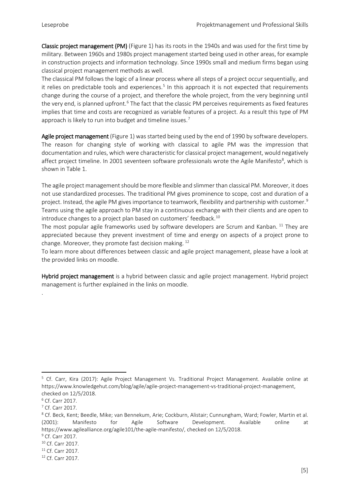Classic project management (PM) (Figure 1) has its roots in the 1940s and was used for the first time by military. Between 1960s and 1980s project management started being used in other areas, for example in construction projects and information technology. Since 1990s small and medium firms began using classical project management methods as well.

The classical PM follows the logic of a linear process where all steps of a project occur sequentially, and it relies on predictable tools and experiences.<sup>[5](#page-4-0)</sup> In this approach it is not expected that requirements change during the course of a project, and therefore the whole project, from the very beginning until the very end, is planned upfront.<sup>[6](#page-4-1)</sup> The fact that the classic PM perceives requirements as fixed features implies that time and costs are recognized as variable features of a project. As a result this type of PM approach is likely to run into budget and timeline issues.<sup>[7](#page-4-2)</sup>

Agile project management (Figure 1) was started being used by the end of 1990 by software developers. The reason for changing style of working with classical to agile PM was the impression that documentation and rules, which were characteristic for classical project management, would negatively affect project timeline. In 2001 seventeen software professionals wrote the Agile Manifesto<sup>[8](#page-4-3)</sup>, which is shown in Table 1.

The agile project management should be more flexible and slimmer than classical PM. Moreover, it does not use standardized processes. The traditional PM gives prominence to scope, cost and duration of a project. Instead, the agile PM gives importance to teamwork, flexibility and partnership with customer.<sup>[9](#page-4-4)</sup> Teams using the agile approach to PM stay in a continuous exchange with their clients and are open to introduce changes to a project plan based on customers' feedback.<sup>[10](#page-4-5)</sup>

The most popular agile frameworks used by software developers are Scrum and Kanban. <sup>[11](#page-4-6)</sup> They are appreciated because they prevent investment of time and energy on aspects of a project prone to change. Moreover, they promote fast decision making. [12](#page-4-7)

To learn more about differences between classic and agile project management, please have a look at the provided links on moodle.

Hybrid project management is a hybrid between classic and agile project management. Hybrid project management is further explained in the links on moodle.

.

<span id="page-4-0"></span>ł <sup>5</sup> Cf. Carr, Kira (2017): Agile Project Management Vs. Traditional Project Management. Available online at https://www.knowledgehut.com/blog/agile/agile-project-management-vs-traditional-project-management, checked on 12/5/2018.

<span id="page-4-1"></span><sup>6</sup> Cf. Carr 2017.

<span id="page-4-2"></span><sup>7</sup> Cf. Carr 2017.

<span id="page-4-3"></span><sup>&</sup>lt;sup>8</sup> Cf. Beck, Kent; Beedle, Mike; van Bennekum, Arie; Cockburn, Alistair; Cunnungham, Ward; Fowler, Martin et al. (2001): Manifesto for Agile Software Development. Available online at https://www.agilealliance.org/agile101/the-agile-manifesto/, checked on 12/5/2018.

<span id="page-4-4"></span><sup>9</sup> Cf. Carr 2017.

<span id="page-4-5"></span><sup>&</sup>lt;sup>10</sup> Cf. Carr 2017.

<span id="page-4-6"></span><sup>11</sup> Cf. Carr 2017.

<span id="page-4-7"></span><sup>12</sup> Cf. Carr 2017.